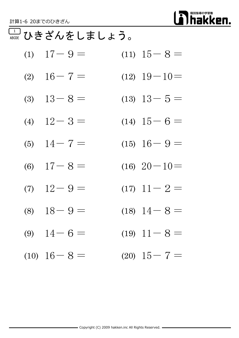

#### 1 ABCDE ひきざんをしましょう。

- (1)  $17-9=$  (11)  $15-8=$
- (2)  $16-7=$  (12)  $19-10=$
- (3)  $13-8=$  (13)  $13-5=$
- (4)  $12-3=$  (14)  $15-6=$
- (5)  $14-7=$  (15)  $16-9=$
- (6)  $17-8=$  (16)  $20-10=$
- (7)  $12-9=$   $(17)$   $11-2=$
- (8)  $18-9=$  (18)  $14-8=$
- (9)  $14-6=$  (19)  $11-8=$
- (10)  $16-8=$  (20)  $15-7=$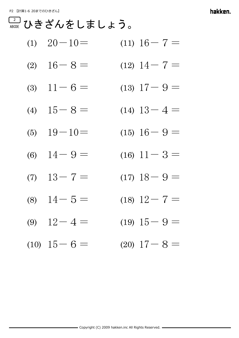|  | (1) $20-10=$ | $(11)$ 16 - 7 = |
|--|--------------|-----------------|
|--|--------------|-----------------|

- (2)  $16-8=$  (12)  $14-7=$
- (3)  $11-6=$  (13)  $17-9=$
- (4)  $15-8=$  (14)  $13-4=$
- (5)  $19-10=$  (15)  $16-9=$
- (6)  $14-9=$  (16)  $11-3=$
- (7)  $13-7=$  (17)  $18-9=$
- (8)  $14-5=$  (18)  $12-7=$
- (9)  $12-4=$  (19)  $15-9=$
- $(10)$   $15-6=$   $(20)$   $17-8=$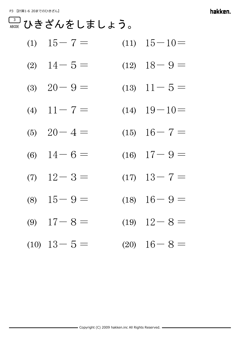$$
(1) \quad 15-7 = \qquad \qquad (11) \quad 15-10 =
$$

$$
(2) \quad 14-5= \qquad \qquad (12) \quad 18-9=
$$

- (3)  $20 9 =$  (13)  $11 5 =$
- (4)  $11-7 =$  (14)  $19-10=$
- (5)  $20-4=$  (15)  $16-7=$
- (6)  $14-6=$  (16)  $17-9=$
- (7)  $12-3=$  (17)  $13-7=$
- (8)  $15-9=$  (18)  $16-9=$
- (9)  $17-8=$  (19)  $12-8=$
- (10)  $13-5=$  (20)  $16-8=$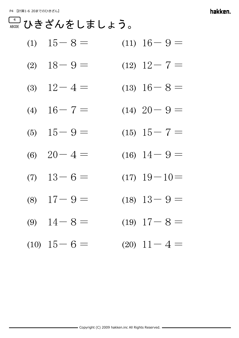P4 【計算1-6 20までのひきざん】

hakken.

$$
(1) \quad 15-8= \qquad \qquad (11) \quad 16-9=
$$

$$
(2) \quad 18 - 9 = \qquad \qquad (12) \quad 12 - 7 =
$$

- (3)  $12-4=$  (13)  $16-8=$
- (4)  $16-7=$  (14)  $20-9=$
- (5)  $15-9=$  (15)  $15-7=$
- (6)  $20-4=$  (16)  $14-9=$
- (7)  $13-6=$   $(17)$   $19-10=$
- (8)  $17-9=$  (18)  $13-9=$
- (9)  $14-8=$  (19)  $17-8=$
- (10)  $15-6=$  (20)  $11-4=$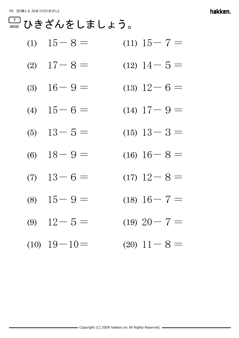P5 【計算1-6 20までのひきざん】

hakken.

- (2)  $17-8=$  (12)  $14-5=$
- (3)  $16-9=$  (13)  $12-6=$
- (4)  $15-6=$  (14)  $17-9=$
- (5)  $13-5=$  (15)  $13-3=$
- (6)  $18-9=$  (16)  $16-8=$
- (7)  $13-6=$  (17)  $12-8=$
- (8)  $15-9=$  (18)  $16-7=$
- (9)  $12-5=$  (19)  $20-7=$
- $(10)$   $19-10=$   $(20)$   $11-8=$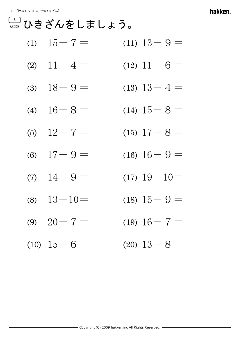$$
(1) \quad 15-7 = \qquad \qquad (11) \quad 13-9 =
$$

$$
(2) \quad 11 - 4 = \qquad \qquad (12) \quad 11 - 6 =
$$

- (3)  $18-9=$  (13)  $13-4=$
- (4)  $16-8=$  (14)  $15-8=$
- (5)  $12-7=$  (15)  $17-8=$
- (6)  $17-9=$  (16)  $16-9=$
- (7)  $14-9=$  (17)  $19-10=$
- (8)  $13-10=$  (18)  $15-9=$
- (9)  $20-7=$  (19)  $16-7=$
- (10)  $15-6=$  (20)  $13-8=$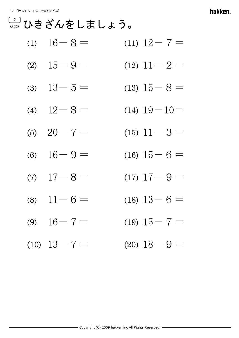|  | (1) $16-8=$ | $(11)$ $12 - 7 =$ |
|--|-------------|-------------------|
|--|-------------|-------------------|

- (2)  $15-9=$   $(12)$   $11-2=$
- (3)  $13-5=$  (13)  $15-8=$
- (4)  $12-8=$  (14)  $19-10=$
- (5)  $20 7 =$  (15)  $11 3 =$
- (6)  $16-9=$  (16)  $15-6=$
- (7)  $17-8=$  (17)  $17-9=$
- (8)  $11-6=$  (18)  $13-6=$
- (9)  $16-7=$  (19)  $15-7=$
- (10)  $13-7 =$  (20)  $18-9=$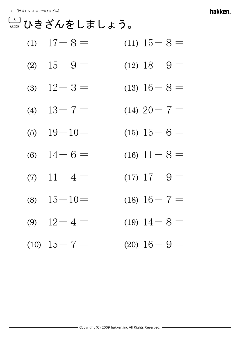|  |  | (1) $17-8=$ | $(11)$ $15 - 8 =$ |
|--|--|-------------|-------------------|
|--|--|-------------|-------------------|

- (2)  $15-9=$  (12)  $18-9=$
- (3)  $12-3=$  (13)  $16-8=$
- (4)  $13-7=$  (14)  $20-7=$
- (5)  $19-10=$  (15)  $15-6=$
- (6)  $14-6=$  (16)  $11-8=$
- (7)  $11-4=$  (17)  $17-9=$
- (8)  $15-10=$  (18)  $16-7=$
- (9)  $12-4=$  (19)  $14-8=$
- (10)  $15-7=$  (20)  $16-9=$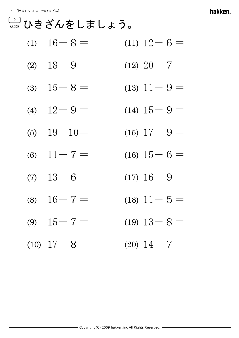|  | (1) $16-8=$ | $(11)$ $12-6=$ |
|--|-------------|----------------|
|--|-------------|----------------|

- (2)  $18-9=$  (12)  $20-7=$
- (3)  $15-8=$  (13)  $11-9=$
- (4)  $12-9=$  (14)  $15-9=$
- (5)  $19-10=$  (15)  $17-9=$
- (6)  $11-7=$  (16)  $15-6=$
- (7)  $13-6=$  (17)  $16-9=$
- (8)  $16-7=$  (18)  $11-5=$
- (9)  $15-7=$  (19)  $13-8=$
- (10)  $17-8=$  (20)  $14-7=$